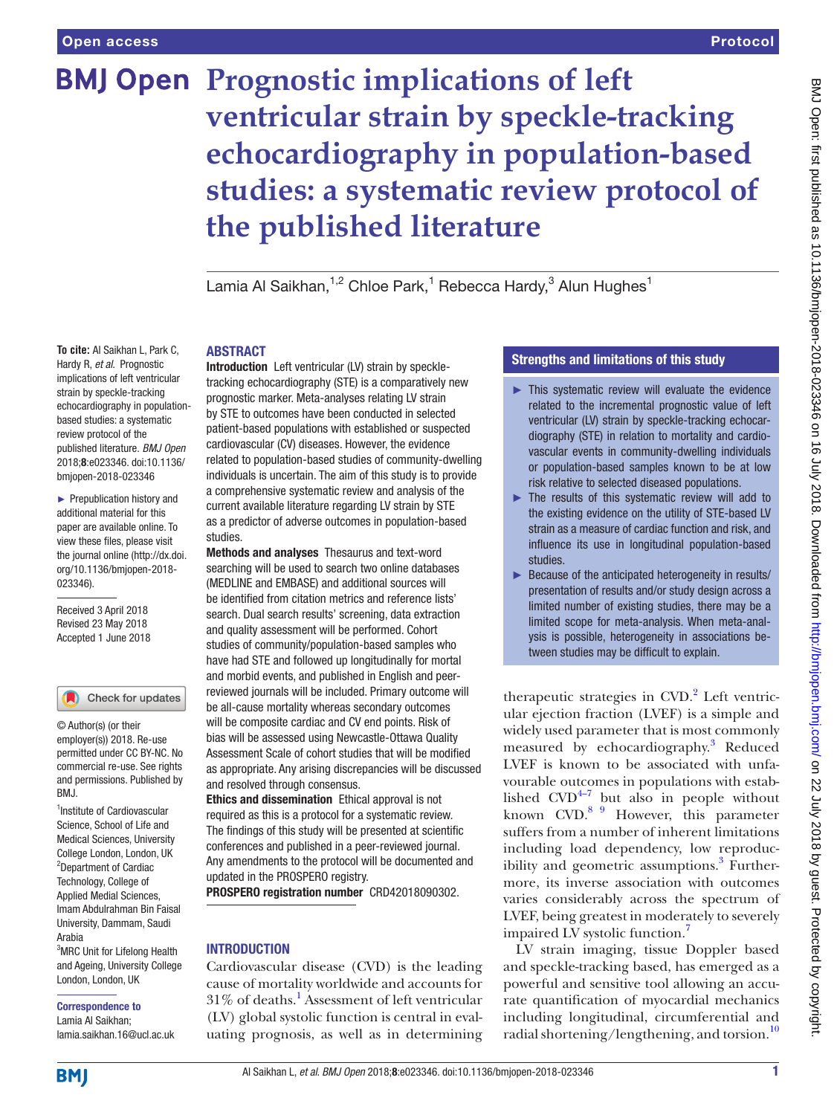**To cite:** Al Saikhan L, Park C, Hardy R, *et al*. Prognostic implications of left ventricular strain by speckle-tracking echocardiography in populationbased studies: a systematic review protocol of the published literature. *BMJ Open* 2018;8:e023346. doi:10.1136/ bmjopen-2018-023346 ► Prepublication history and additional material for this paper are available online. To view these files, please visit the journal online [\(http://dx.doi.](http://dx.doi.org/10.1136/bmjopen-2018-023346) [org/10.1136/bmjopen-2018-](http://dx.doi.org/10.1136/bmjopen-2018-023346)

[023346\)](http://dx.doi.org/10.1136/bmjopen-2018-023346).

Received 3 April 2018 Revised 23 May 2018 Accepted 1 June 2018

© Author(s) (or their employer(s)) 2018. Re-use permitted under CC BY-NC. No commercial re-use. See rights and permissions. Published by

Check for updates

RM<sub>J</sub>

# **BMJ Open Prognostic implications of left ventricular strain by speckle-tracking echocardiography in population-based studies: a systematic review protocol of the published literature**

Lamia Al Saikhan,<sup>1,2</sup> Chloe Park,<sup>1</sup> Rebecca Hardy,<sup>3</sup> Alun Hughes<sup>1</sup>

# **ABSTRACT**

Introduction Left ventricular (LV) strain by speckletracking echocardiography (STE) is a comparatively new prognostic marker. Meta-analyses relating LV strain by STE to outcomes have been conducted in selected patient-based populations with established or suspected cardiovascular (CV) diseases. However, the evidence related to population-based studies of community-dwelling individuals is uncertain. The aim of this study is to provide a comprehensive systematic review and analysis of the current available literature regarding LV strain by STE as a predictor of adverse outcomes in population-based studies.

Methods and analyses Thesaurus and text-word searching will be used to search two online databases (MEDLINE and EMBASE) and additional sources will be identified from citation metrics and reference lists' search. Dual search results' screening, data extraction and quality assessment will be performed. Cohort studies of community/population-based samples who have had STE and followed up longitudinally for mortal and morbid events, and published in English and peerreviewed journals will be included. Primary outcome will be all-cause mortality whereas secondary outcomes will be composite cardiac and CV end points. Risk of bias will be assessed using Newcastle-Ottawa Quality Assessment Scale of cohort studies that will be modified as appropriate. Any arising discrepancies will be discussed and resolved through consensus.

Ethics and dissemination Ethical approval is not required as this is a protocol for a systematic review. The findings of this study will be presented at scientific conferences and published in a peer-reviewed journal. Any amendments to the protocol will be documented and updated in the PROSPERO registry.

PROSPERO registration number CRD42018090302.

# **INTRODUCTION**

Cardiovascular disease (CVD) is the leading cause of mortality worldwide and accounts for 31% of deaths.[1](#page-4-0) Assessment of left ventricular (LV) global systolic function is central in evaluating prognosis, as well as in determining

## Strengths and limitations of this study

- $\blacktriangleright$  This systematic review will evaluate the evidence related to the incremental prognostic value of left ventricular (LV) strain by speckle-tracking echocardiography (STE) in relation to mortality and cardiovascular events in community-dwelling individuals or population-based samples known to be at low risk relative to selected diseased populations.
- ► The results of this systematic review will add to the existing evidence on the utility of STE-based LV strain as a measure of cardiac function and risk, and influence its use in longitudinal population-based studies.
- ► Because of the anticipated heterogeneity in results/ presentation of results and/or study design across a limited number of existing studies, there may be a limited scope for meta-analysis. When meta-analysis is possible, heterogeneity in associations between studies may be difficult to explain.

therapeutic strategies in  $CVD$ .<sup>2</sup> Left ventricular ejection fraction (LVEF) is a simple and widely used parameter that is most commonly measured by echocardiography.<sup>[3](#page-4-2)</sup> Reduced LVEF is known to be associated with unfavourable outcomes in populations with established  $CVD^{4-7}$  but also in people without known  $CVD$ .<sup>8 9</sup> However, this parameter suffers from a number of inherent limitations including load dependency, low reproduc-ibility and geometric assumptions.<sup>[3](#page-4-2)</sup> Furthermore, its inverse association with outcomes varies considerably across the spectrum of LVEF, being greatest in moderately to severely impaired LV systolic function.[7](#page-4-5)

LV strain imaging, tissue Doppler based and speckle-tracking based, has emerged as a powerful and sensitive tool allowing an accurate quantification of myocardial mechanics including longitudinal, circumferential and radial shortening/lengthening, and torsion.<sup>[10](#page-4-6)</sup>

#### University, Dammam, Saudi Arabia

<sup>3</sup>MRC Unit for Lifelong Health and Ageing, University College London, London, UK

<sup>1</sup> Institute of Cardiovascular Science, School of Life and Medical Sciences, University College London, London, UK 2 Department of Cardiac Technology, College of Applied Medial Sciences, Imam Abdulrahman Bin Faisal

#### Correspondence to

Lamia Al Saikhan; lamia.saikhan.16@ucl.ac.uk

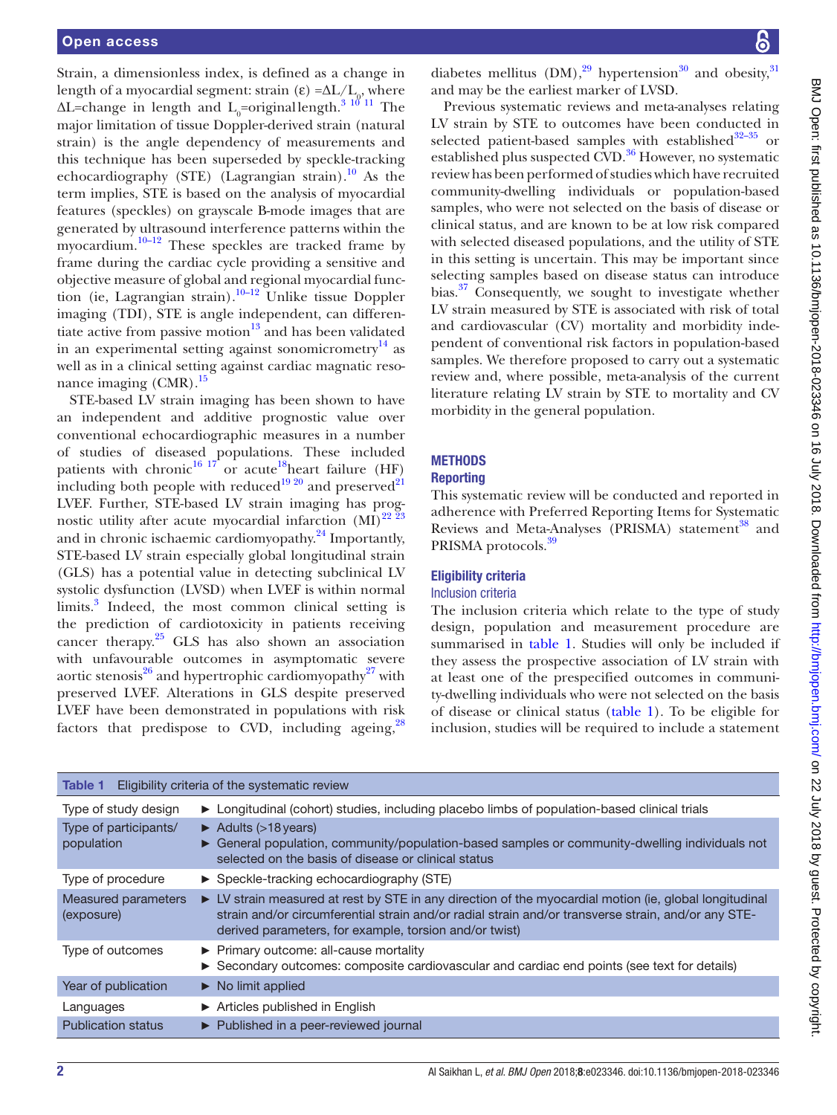Strain, a dimensionless index, is defined as a change in length of a myocardial segment: strain (ε) =ΔL/L<sub>0</sub>, where  $\Delta L$ =change in length and  $L_0$ =originallength.<sup>[3 10 11](#page-4-2)</sup> The major limitation of tissue Doppler-derived strain (natural strain) is the angle dependency of measurements and this technique has been superseded by speckle-tracking echocardiography (STE) (Lagrangian strain).<sup>10</sup> As the term implies, STE is based on the analysis of myocardial features (speckles) on grayscale B-mode images that are generated by ultrasound interference patterns within the myocardium.<sup>[10–12](#page-4-6)</sup> These speckles are tracked frame by frame during the cardiac cycle providing a sensitive and objective measure of global and regional myocardial function (ie, Lagrangian strain).<sup>10–12</sup> Unlike tissue Doppler imaging (TDI), STE is angle independent, can differentiate active from passive motion $13$  and has been validated in an experimental setting against sonomicrometry<sup>14</sup> as well as in a clinical setting against cardiac magnatic resonance imaging  $(CMR)$ .<sup>15</sup>

STE-based LV strain imaging has been shown to have an independent and additive prognostic value over conventional echocardiographic measures in a number of studies of diseased populations. These included patients with chronic<sup>[16 17](#page-4-10)</sup> or acute<sup>18</sup>heart failure (HF) including both people with reduced<sup>19 20</sup> and preserved<sup>21</sup> LVEF. Further, STE-based LV strain imaging has prognostic utility after acute myocardial infarction  $(MI)^{22\overline{23}}$ and in chronic ischaemic cardiomyopathy. $24$  Importantly, STE-based LV strain especially global longitudinal strain (GLS) has a potential value in detecting subclinical LV systolic dysfunction (LVSD) when LVEF is within normal limits.<sup>[3](#page-4-2)</sup> Indeed, the most common clinical setting is the prediction of cardiotoxicity in patients receiving cancer therapy. $25$  GLS has also shown an association with unfavourable outcomes in asymptomatic severe aortic stenosis<sup>26</sup> and hypertrophic cardiomyopathy<sup>27</sup> with preserved LVEF. Alterations in GLS despite preserved LVEF have been demonstrated in populations with risk factors that predispose to CVD, including ageing, $28$ 

diabetes mellitus  $(DM)$ ,<sup>29</sup> hypertension<sup>30</sup> and obesity,<sup>[31](#page-5-4)</sup> and may be the earliest marker of LVSD.

Previous systematic reviews and meta-analyses relating LV strain by STE to outcomes have been conducted in selected patient-based samples with established $32-35$  or established plus suspected  $\dot{\rm CVD}$ .<sup>[36](#page-5-6)</sup> However, no systematic review has been performed of studies which have recruited community-dwelling individuals or population-based samples, who were not selected on the basis of disease or clinical status, and are known to be at low risk compared with selected diseased populations, and the utility of STE in this setting is uncertain. This may be important since selecting samples based on disease status can introduce bias.<sup>37</sup> Consequently, we sought to investigate whether LV strain measured by STE is associated with risk of total and cardiovascular (CV) mortality and morbidity independent of conventional risk factors in population-based samples. We therefore proposed to carry out a systematic review and, where possible, meta-analysis of the current literature relating LV strain by STE to mortality and CV morbidity in the general population.

# **METHODS**

## **Reporting**

This systematic review will be conducted and reported in adherence with Preferred Reporting Items for Systematic Reviews and Meta-Analyses (PRISMA) statement<sup>38</sup> and PRISMA protocols.<sup>39</sup>

# Eligibility criteria

## Inclusion criteria

The inclusion criteria which relate to the type of study design, population and measurement procedure are summarised in [table](#page-1-0) 1. Studies will only be included if they assess the prospective association of LV strain with at least one of the prespecified outcomes in community-dwelling individuals who were not selected on the basis of disease or clinical status [\(table](#page-1-0) 1). To be eligible for inclusion, studies will be required to include a statement

<span id="page-1-0"></span>

| Eligibility criteria of the systematic review<br>Table 1 |                                                                                                                                                                                                                                                                         |
|----------------------------------------------------------|-------------------------------------------------------------------------------------------------------------------------------------------------------------------------------------------------------------------------------------------------------------------------|
| Type of study design                                     | ► Longitudinal (cohort) studies, including placebo limbs of population-based clinical trials                                                                                                                                                                            |
| Type of participants/<br>population                      | $\blacktriangleright$ Adults (>18 years)<br>General population, community/population-based samples or community-dwelling individuals not<br>selected on the basis of disease or clinical status                                                                         |
| Type of procedure                                        | $\triangleright$ Speckle-tracking echocardiography (STE)                                                                                                                                                                                                                |
| Measured parameters<br>(exposure)                        | ► LV strain measured at rest by STE in any direction of the myocardial motion (ie, global longitudinal<br>strain and/or circumferential strain and/or radial strain and/or transverse strain, and/or any STE-<br>derived parameters, for example, torsion and/or twist) |
| Type of outcomes                                         | ▶ Primary outcome: all-cause mortality<br>Secondary outcomes: composite cardiovascular and cardiac end points (see text for details)                                                                                                                                    |
| Year of publication                                      | $\triangleright$ No limit applied                                                                                                                                                                                                                                       |
| Languages                                                | ▶ Articles published in English                                                                                                                                                                                                                                         |
| <b>Publication status</b>                                | ▶ Published in a peer-reviewed journal                                                                                                                                                                                                                                  |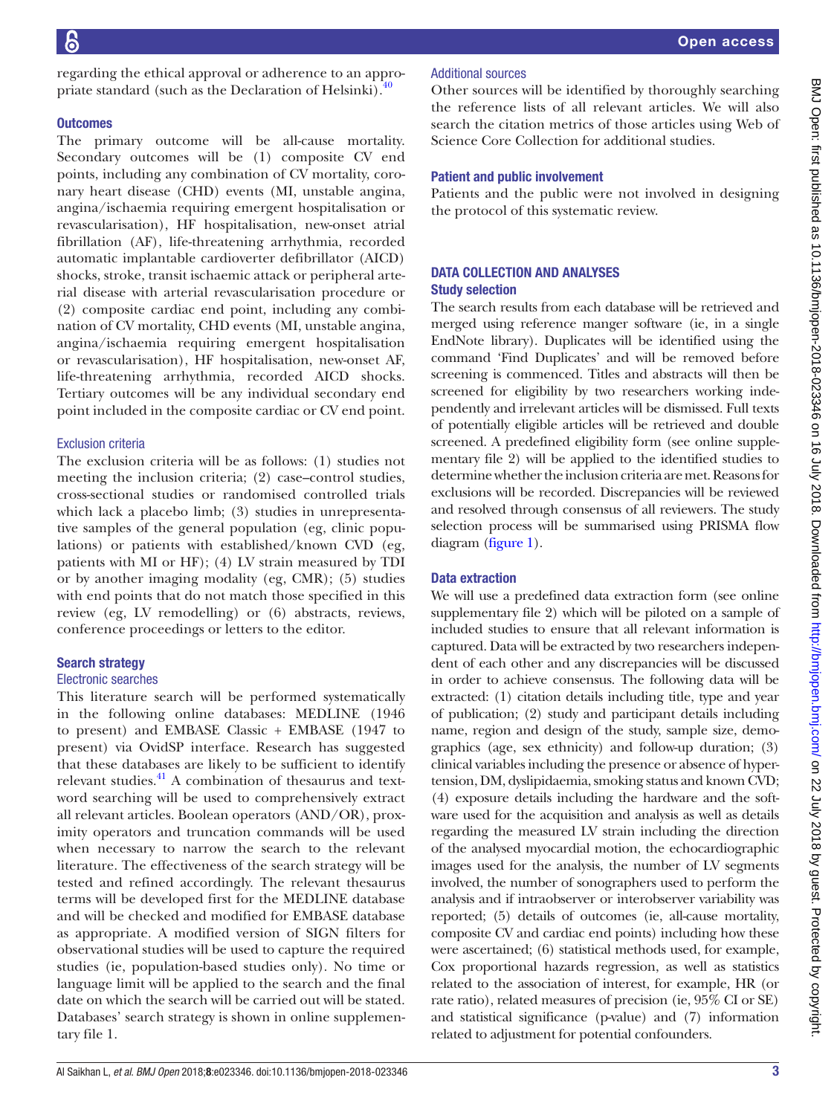regarding the ethical approval or adherence to an appropriate standard (such as the Declaration of Helsinki). $40$ 

## **Outcomes**

The primary outcome will be all-cause mortality. Secondary outcomes will be (1) composite CV end points, including any combination of CV mortality, coronary heart disease (CHD) events (MI, unstable angina, angina/ischaemia requiring emergent hospitalisation or revascularisation), HF hospitalisation, new-onset atrial fibrillation (AF), life-threatening arrhythmia, recorded automatic implantable cardioverter defibrillator (AICD) shocks, stroke, transit ischaemic attack or peripheral arterial disease with arterial revascularisation procedure or (2) composite cardiac end point, including any combination of CV mortality, CHD events (MI, unstable angina, angina/ischaemia requiring emergent hospitalisation or revascularisation), HF hospitalisation, new-onset AF, life-threatening arrhythmia, recorded AICD shocks. Tertiary outcomes will be any individual secondary end point included in the composite cardiac or CV end point.

## Exclusion criteria

The exclusion criteria will be as follows: (1) studies not meeting the inclusion criteria; (2) case–control studies, cross-sectional studies or randomised controlled trials which lack a placebo limb; (3) studies in unrepresentative samples of the general population (eg, clinic populations) or patients with established/known CVD (eg, patients with MI or HF); (4) LV strain measured by TDI or by another imaging modality (eg, CMR); (5) studies with end points that do not match those specified in this review (eg, LV remodelling) or (6) abstracts, reviews, conference proceedings or letters to the editor.

## Search strategy

## Electronic searches

This literature search will be performed systematically in the following online databases: MEDLINE (1946 to present) and EMBASE Classic + EMBASE (1947 to present) via OvidSP interface. Research has suggested that these databases are likely to be sufficient to identify relevant studies.<sup>41</sup> A combination of thesaurus and textword searching will be used to comprehensively extract all relevant articles. Boolean operators (AND/OR), proximity operators and truncation commands will be used when necessary to narrow the search to the relevant literature. The effectiveness of the search strategy will be tested and refined accordingly. The relevant thesaurus terms will be developed first for the MEDLINE database and will be checked and modified for EMBASE database as appropriate. A modified version of SIGN filters for observational studies will be used to capture the required studies (ie, population-based studies only). No time or language limit will be applied to the search and the final date on which the search will be carried out will be stated. Databases' search strategy is shown in online [supplemen](https://dx.doi.org/10.1136/bmjopen-2018-023346)[tary file 1](https://dx.doi.org/10.1136/bmjopen-2018-023346).

## Additional sources

Other sources will be identified by thoroughly searching the reference lists of all relevant articles. We will also search the citation metrics of those articles using Web of Science Core Collection for additional studies.

## Patient and public involvement

Patients and the public were not involved in designing the protocol of this systematic review.

## DATA COLLECTION AND ANALYSES Study selection

The search results from each database will be retrieved and merged using reference manger software (ie, in a single EndNote library). Duplicates will be identified using the command 'Find Duplicates' and will be removed before screening is commenced. Titles and abstracts will then be screened for eligibility by two researchers working independently and irrelevant articles will be dismissed. Full texts of potentially eligible articles will be retrieved and double screened. A predefined eligibility form (see online [supple](https://dx.doi.org/10.1136/bmjopen-2018-023346)[mentary file 2\)](https://dx.doi.org/10.1136/bmjopen-2018-023346) will be applied to the identified studies to determine whether the inclusion criteria are met. Reasons for exclusions will be recorded. Discrepancies will be reviewed and resolved through consensus of all reviewers. The study selection process will be summarised using PRISMA flow diagram [\(figure](#page-3-0) 1).

## Data extraction

We will use a predefined data extraction form (see online [supplementary file 2](https://dx.doi.org/10.1136/bmjopen-2018-023346)) which will be piloted on a sample of included studies to ensure that all relevant information is captured. Data will be extracted by two researchers independent of each other and any discrepancies will be discussed in order to achieve consensus. The following data will be extracted: (1) citation details including title, type and year of publication; (2) study and participant details including name, region and design of the study, sample size, demographics (age, sex ethnicity) and follow-up duration; (3) clinical variables including the presence or absence of hypertension, DM, dyslipidaemia, smoking status and known CVD; (4) exposure details including the hardware and the software used for the acquisition and analysis as well as details regarding the measured LV strain including the direction of the analysed myocardial motion, the echocardiographic images used for the analysis, the number of LV segments involved, the number of sonographers used to perform the analysis and if intraobserver or interobserver variability was reported; (5) details of outcomes (ie, all-cause mortality, composite CV and cardiac end points) including how these were ascertained; (6) statistical methods used, for example, Cox proportional hazards regression, as well as statistics related to the association of interest, for example, HR (or rate ratio), related measures of precision (ie, 95% CI or SE) and statistical significance (p-value) and (7) information related to adjustment for potential confounders.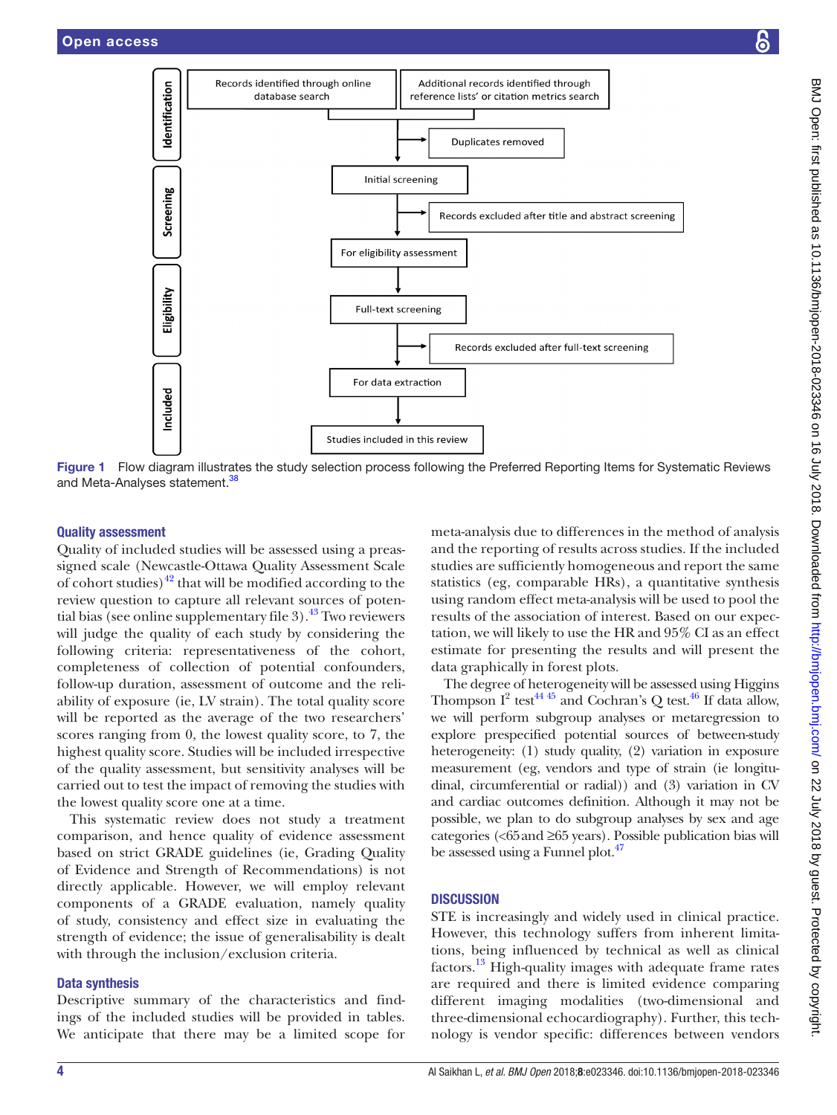



<span id="page-3-0"></span>Figure 1 Flow diagram illustrates the study selection process following the Preferred Reporting Items for Systematic Reviews and Meta-Analyses statement.<sup>38</sup>

## Quality assessment

Quality of included studies will be assessed using a preassigned scale (Newcastle-Ottawa Quality Assessment Scale of cohort studies) $42$  that will be modified according to the review question to capture all relevant sources of potential bias (see online supplementary file  $3$ ).<sup>43</sup> Two reviewers will judge the quality of each study by considering the following criteria: representativeness of the cohort, completeness of collection of potential confounders, follow-up duration, assessment of outcome and the reliability of exposure (ie, LV strain). The total quality score will be reported as the average of the two researchers' scores ranging from 0, the lowest quality score, to 7, the highest quality score. Studies will be included irrespective of the quality assessment, but sensitivity analyses will be carried out to test the impact of removing the studies with the lowest quality score one at a time.

This systematic review does not study a treatment comparison, and hence quality of evidence assessment based on strict GRADE guidelines (ie, Grading Quality of Evidence and Strength of Recommendations) is not directly applicable. However, we will employ relevant components of a GRADE evaluation, namely quality of study, consistency and effect size in evaluating the strength of evidence; the issue of generalisability is dealt with through the inclusion/exclusion criteria.

## Data synthesis

Descriptive summary of the characteristics and findings of the included studies will be provided in tables. We anticipate that there may be a limited scope for

meta-analysis due to differences in the method of analysis and the reporting of results across studies. If the included studies are sufficiently homogeneous and report the same statistics (eg, comparable HRs), a quantitative synthesis using random effect meta-analysis will be used to pool the results of the association of interest. Based on our expectation, we will likely to use the HR and 95% CI as an effect estimate for presenting the results and will present the data graphically in forest plots.

The degree of heterogeneity will be assessed using Higgins Thompson  $I^2$  test<sup>44 45</sup> and Cochran's Q test.<sup>46</sup> If data allow, we will perform subgroup analyses or metaregression to explore prespecified potential sources of between-study heterogeneity: (1) study quality, (2) variation in exposure measurement (eg, vendors and type of strain (ie longitudinal, circumferential or radial)) and (3) variation in CV and cardiac outcomes definition. Although it may not be possible, we plan to do subgroup analyses by sex and age categories (<65and ≥65 years). Possible publication bias will be assessed using a Funnel plot.<sup>47</sup>

## **DISCUSSION**

STE is increasingly and widely used in clinical practice. However, this technology suffers from inherent limitations, being influenced by technical as well as clinical factors. $^{13}$  High-quality images with adequate frame rates are required and there is limited evidence comparing different imaging modalities (two-dimensional and three-dimensional echocardiography). Further, this technology is vendor specific: differences between vendors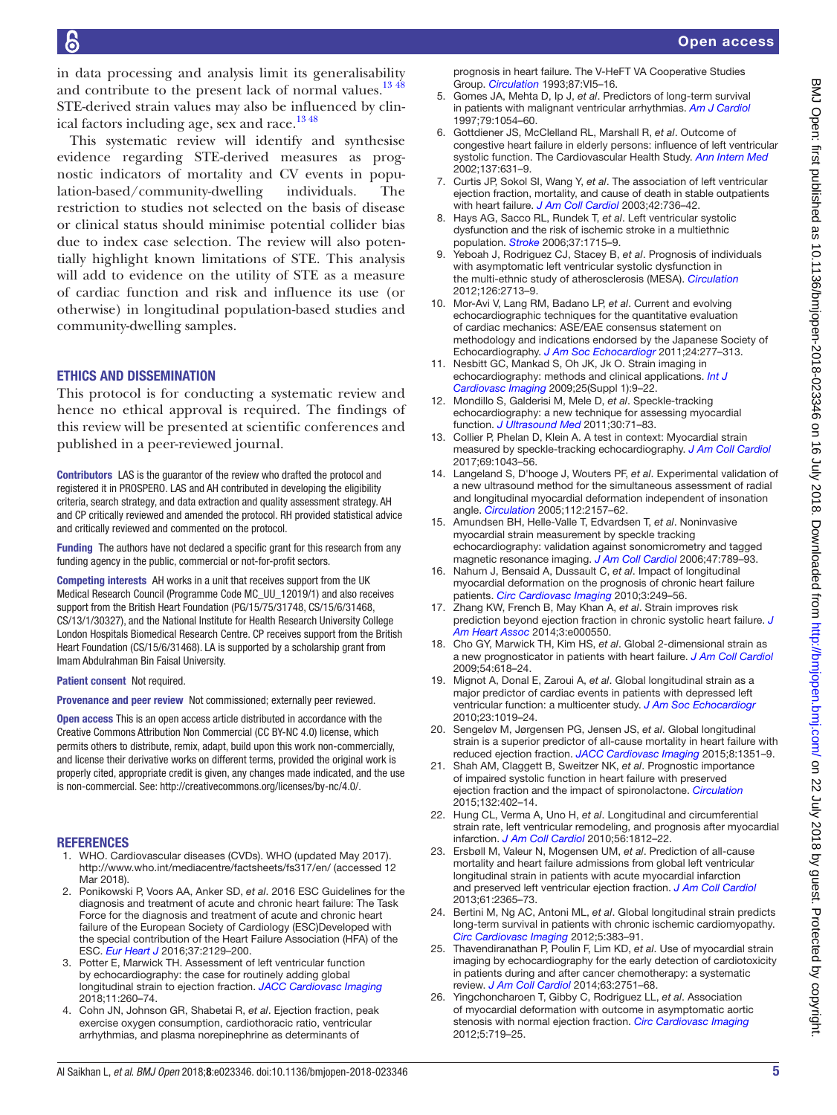This systematic review will identify and synthesise evidence regarding STE-derived measures as prognostic indicators of mortality and CV events in population-based/community-dwelling individuals. The restriction to studies not selected on the basis of disease or clinical status should minimise potential collider bias due to index case selection. The review will also potentially highlight known limitations of STE. This analysis will add to evidence on the utility of STE as a measure of cardiac function and risk and influence its use (or otherwise) in longitudinal population-based studies and community-dwelling samples.

## Ethics and dissemination

This protocol is for conducting a systematic review and hence no ethical approval is required. The findings of this review will be presented at scientific conferences and published in a peer-reviewed journal.

Contributors LAS is the guarantor of the review who drafted the protocol and registered it in PROSPERO. LAS and AH contributed in developing the eligibility criteria, search strategy, and data extraction and quality assessment strategy. AH and CP critically reviewed and amended the protocol. RH provided statistical advice and critically reviewed and commented on the protocol.

Funding The authors have not declared a specific grant for this research from any funding agency in the public, commercial or not-for-profit sectors.

Competing interests AH works in a unit that receives support from the UK Medical Research Council (Programme Code MC\_UU\_12019/1) and also receives support from the British Heart Foundation (PG/15/75/31748, CS/15/6/31468, CS/13/1/30327), and the National Institute for Health Research University College London Hospitals Biomedical Research Centre. CP receives support from the British Heart Foundation (CS/15/6/31468). LA is supported by a scholarship grant from Imam Abdulrahman Bin Faisal University.

Patient consent Not required.

Provenance and peer review Not commissioned; externally peer reviewed.

Open access This is an open access article distributed in accordance with the Creative Commons Attribution Non Commercial (CC BY-NC 4.0) license, which permits others to distribute, remix, adapt, build upon this work non-commercially, and license their derivative works on different terms, provided the original work is properly cited, appropriate credit is given, any changes made indicated, and the use is non-commercial. See: <http://creativecommons.org/licenses/by-nc/4.0/>.

#### **REFERENCES**

- <span id="page-4-0"></span>1. WHO. Cardiovascular diseases (CVDs). WHO (updated May 2017). <http://www.who.int/mediacentre/factsheets/fs317/en/> (accessed 12 Mar 2018)
- <span id="page-4-1"></span>2. Ponikowski P, Voors AA, Anker SD, *et al*. 2016 ESC Guidelines for the diagnosis and treatment of acute and chronic heart failure: The Task Force for the diagnosis and treatment of acute and chronic heart failure of the European Society of Cardiology (ESC)Developed with the special contribution of the Heart Failure Association (HFA) of the ESC. *[Eur Heart J](http://dx.doi.org/10.1093/eurheartj/ehw128)* 2016;37:2129–200.
- <span id="page-4-2"></span>3. Potter E, Marwick TH. Assessment of left ventricular function by echocardiography: the case for routinely adding global longitudinal strain to ejection fraction. *[JACC Cardiovasc Imaging](http://dx.doi.org/10.1016/j.jcmg.2017.11.017)* 2018;11:260–74.
- <span id="page-4-3"></span>4. Cohn JN, Johnson GR, Shabetai R, *et al*. Ejection fraction, peak exercise oxygen consumption, cardiothoracic ratio, ventricular arrhythmias, and plasma norepinephrine as determinants of

prognosis in heart failure. The V-HeFT VA Cooperative Studies Group. *[Circulation](http://www.ncbi.nlm.nih.gov/pubmed/8500240)* 1993;87:VI5–16.

- 5. Gomes JA, Mehta D, Ip J, *et al*. Predictors of long-term survival in patients with malignant ventricular arrhythmias. *[Am J Cardiol](http://dx.doi.org/10.1016/S0002-9149(97)00046-5)* 1997;79:1054–60.
- 6. Gottdiener JS, McClelland RL, Marshall R, *et al*. Outcome of congestive heart failure in elderly persons: influence of left ventricular systolic function. The Cardiovascular Health Study. *[Ann Intern Med](http://dx.doi.org/10.7326/0003-4819-137-8-200210150-00006)* 2002;137:631–9.
- <span id="page-4-5"></span>7. Curtis JP, Sokol SI, Wang Y, *et al*. The association of left ventricular ejection fraction, mortality, and cause of death in stable outpatients with heart failure. *[J Am Coll Cardiol](http://dx.doi.org/10.1016/S0735-1097(03)00789-7)* 2003;42:736–42.
- <span id="page-4-4"></span>8. Hays AG, Sacco RL, Rundek T, *et al*. Left ventricular systolic dysfunction and the risk of ischemic stroke in a multiethnic population. *[Stroke](http://dx.doi.org/10.1161/01.STR.0000227121.34717.40)* 2006;37:1715–9.
- 9. Yeboah J, Rodriguez CJ, Stacey B, *et al*. Prognosis of individuals with asymptomatic left ventricular systolic dysfunction in the multi-ethnic study of atherosclerosis (MESA). *[Circulation](http://dx.doi.org/10.1161/CIRCULATIONAHA.112.112201)* 2012;126:2713–9.
- <span id="page-4-6"></span>10. Mor-Avi V, Lang RM, Badano LP, *et al*. Current and evolving echocardiographic techniques for the quantitative evaluation of cardiac mechanics: ASE/EAE consensus statement on methodology and indications endorsed by the Japanese Society of Echocardiography. *[J Am Soc Echocardiogr](http://dx.doi.org/10.1016/j.echo.2011.01.015)* 2011;24:277–313.
- 11. Nesbitt GC, Mankad S, Oh JK, Jk O. Strain imaging in echocardiography: methods and clinical applications. *[Int J](http://dx.doi.org/10.1007/s10554-008-9414-1)  [Cardiovasc Imaging](http://dx.doi.org/10.1007/s10554-008-9414-1)* 2009;25(Suppl 1):9–22.
- 12. Mondillo S, Galderisi M, Mele D, *et al*. Speckle-tracking echocardiography: a new technique for assessing myocardial function. *[J Ultrasound Med](http://www.ncbi.nlm.nih.gov/pubmed/21193707)* 2011;30:71–83.
- <span id="page-4-7"></span>13. Collier P, Phelan D, Klein A. A test in context: Myocardial strain measured by speckle-tracking echocardiography. *[J Am Coll Cardiol](http://dx.doi.org/10.1016/j.jacc.2016.12.012)* 2017;69:1043–56.
- <span id="page-4-8"></span>14. Langeland S, D'hooge J, Wouters PF, *et al*. Experimental validation of a new ultrasound method for the simultaneous assessment of radial and longitudinal myocardial deformation independent of insonation angle. *[Circulation](http://dx.doi.org/10.1161/CIRCULATIONAHA.105.554006)* 2005;112:2157–62.
- <span id="page-4-9"></span>15. Amundsen BH, Helle-Valle T, Edvardsen T, *et al*. Noninvasive myocardial strain measurement by speckle tracking echocardiography: validation against sonomicrometry and tagged magnetic resonance imaging. *[J Am Coll Cardiol](http://dx.doi.org/10.1016/j.jacc.2005.10.040)* 2006;47:789–93.
- <span id="page-4-10"></span>16. Nahum J, Bensaid A, Dussault C, *et al*. Impact of longitudinal myocardial deformation on the prognosis of chronic heart failure patients. *[Circ Cardiovasc Imaging](http://dx.doi.org/10.1161/CIRCIMAGING.109.910893)* 2010;3:249–56.
- 17. Zhang KW, French B, May Khan A, *et al*. Strain improves risk prediction beyond ejection fraction in chronic systolic heart failure. *[J](http://dx.doi.org/10.1161/JAHA.113.000550)  [Am Heart Assoc](http://dx.doi.org/10.1161/JAHA.113.000550)* 2014;3:e000550.
- <span id="page-4-11"></span>18. Cho GY, Marwick TH, Kim HS, *et al*. Global 2-dimensional strain as a new prognosticator in patients with heart failure. *[J Am Coll Cardiol](http://dx.doi.org/10.1016/j.jacc.2009.04.061)* 2009;54:618–24.
- <span id="page-4-12"></span>19. Mignot A, Donal E, Zaroui A, *et al*. Global longitudinal strain as a major predictor of cardiac events in patients with depressed left ventricular function: a multicenter study. *[J Am Soc Echocardiogr](http://dx.doi.org/10.1016/j.echo.2010.07.019)* 2010;23:1019–24.
- 20. Sengeløv M, Jørgensen PG, Jensen JS, *et al*. Global longitudinal strain is a superior predictor of all-cause mortality in heart failure with reduced ejection fraction. *[JACC Cardiovasc Imaging](http://dx.doi.org/10.1016/j.jcmg.2015.07.013)* 2015;8:1351–9.
- <span id="page-4-13"></span>21. Shah AM, Claggett B, Sweitzer NK, *et al*. Prognostic importance of impaired systolic function in heart failure with preserved ejection fraction and the impact of spironolactone. *[Circulation](http://dx.doi.org/10.1161/CIRCULATIONAHA.115.015884)* 2015;132:402–14.
- <span id="page-4-14"></span>22. Hung CL, Verma A, Uno H, *et al*. Longitudinal and circumferential strain rate, left ventricular remodeling, and prognosis after myocardial infarction. *[J Am Coll Cardiol](http://dx.doi.org/10.1016/j.jacc.2010.06.044)* 2010;56:1812–22.
- 23. Ersbøll M, Valeur N, Mogensen UM, *et al*. Prediction of all-cause mortality and heart failure admissions from global left ventricular longitudinal strain in patients with acute myocardial infarction and preserved left ventricular ejection fraction. *[J Am Coll Cardiol](http://dx.doi.org/10.1016/j.jacc.2013.02.061)* 2013;61:2365–73.
- <span id="page-4-15"></span>24. Bertini M, Ng AC, Antoni ML, *et al*. Global longitudinal strain predicts long-term survival in patients with chronic ischemic cardiomyopathy. *[Circ Cardiovasc Imaging](http://dx.doi.org/10.1161/CIRCIMAGING.111.970434)* 2012;5:383–91.
- <span id="page-4-16"></span>25. Thavendiranathan P, Poulin F, Lim KD, *et al*. Use of myocardial strain imaging by echocardiography for the early detection of cardiotoxicity in patients during and after cancer chemotherapy: a systematic review. *[J Am Coll Cardiol](http://dx.doi.org/10.1016/j.jacc.2014.01.073)* 2014;63:2751–68.
- <span id="page-4-17"></span>26. Yingchoncharoen T, Gibby C, Rodriguez LL, *et al*. Association of myocardial deformation with outcome in asymptomatic aortic stenosis with normal ejection fraction. *[Circ Cardiovasc Imaging](http://dx.doi.org/10.1161/CIRCIMAGING.112.977348)* 2012;5:719–25.